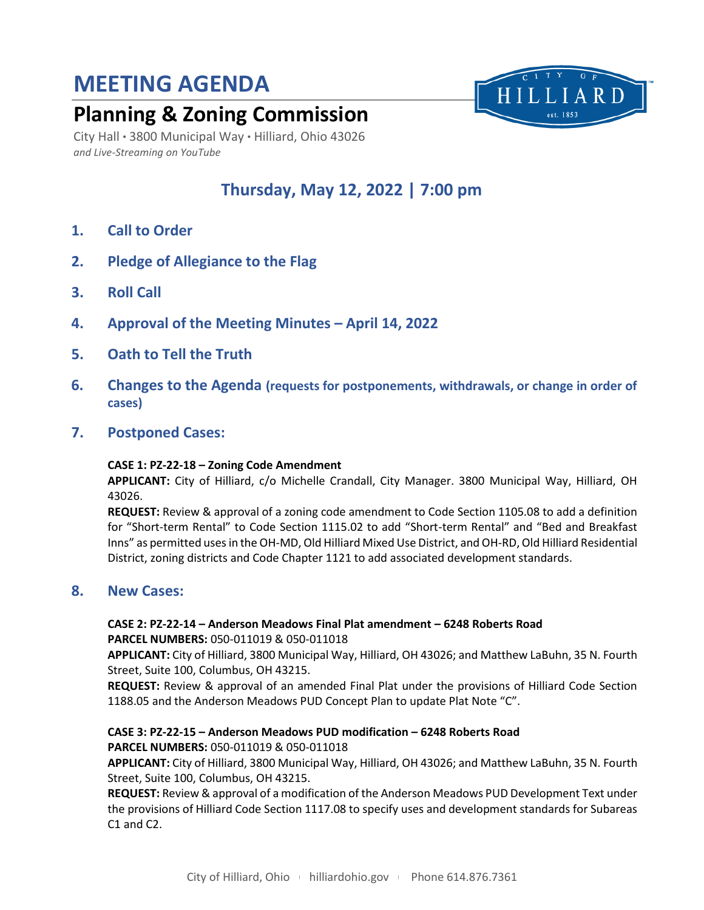# **MEETING AGENDA**

## **Planning & Zoning Commission**

City Hall ● 3800 Municipal Way ● Hilliard, Ohio 43026 *and Live-Streaming on YouTube*

## **Thursday, May 12, 2022 | 7:00 pm**

HILLIARD est. 1853

- **1. Call to Order**
- **2. Pledge of Allegiance to the Flag**
- **3. Roll Call**
- **4. Approval of the Meeting Minutes – April 14, 2022**
- **5. Oath to Tell the Truth**
- **6. Changes to the Agenda (requests for postponements, withdrawals, or change in order of cases)**
- **7. Postponed Cases:**

#### **CASE 1: PZ-22-18 – Zoning Code Amendment**

**APPLICANT:** City of Hilliard, c/o Michelle Crandall, City Manager. 3800 Municipal Way, Hilliard, OH 43026.

**REQUEST:** Review & approval of a zoning code amendment to Code Section 1105.08 to add a definition for "Short-term Rental" to Code Section 1115.02 to add "Short-term Rental" and "Bed and Breakfast Inns" as permitted uses in the OH-MD, Old Hilliard Mixed Use District, and OH-RD, Old Hilliard Residential District, zoning districts and Code Chapter 1121 to add associated development standards.

### **8. New Cases:**

## **CASE 2: PZ-22-14 – Anderson Meadows Final Plat amendment – 6248 Roberts Road**

**PARCEL NUMBERS:** 050-011019 & 050-011018

**APPLICANT:** City of Hilliard, 3800 Municipal Way, Hilliard, OH 43026; and Matthew LaBuhn, 35 N. Fourth Street, Suite 100, Columbus, OH 43215.

**REQUEST:** Review & approval of an amended Final Plat under the provisions of Hilliard Code Section 1188.05 and the Anderson Meadows PUD Concept Plan to update Plat Note "C".

### **CASE 3: PZ-22-15 – Anderson Meadows PUD modification – 6248 Roberts Road**

#### **PARCEL NUMBERS:** 050-011019 & 050-011018

**APPLICANT:** City of Hilliard, 3800 Municipal Way, Hilliard, OH 43026; and Matthew LaBuhn, 35 N. Fourth Street, Suite 100, Columbus, OH 43215.

**REQUEST:** Review & approval of a modification of the Anderson Meadows PUD Development Text under the provisions of Hilliard Code Section 1117.08 to specify uses and development standards for Subareas C1 and C2.